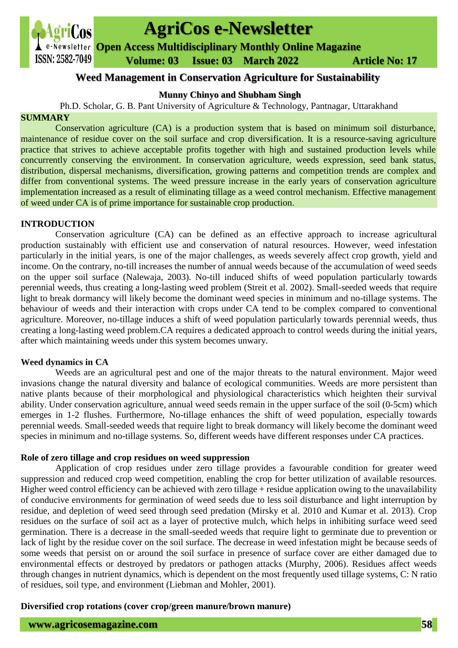

# **AgriCos e-Newsletter**

**Open Access Multidisciplinary Monthly Online Magazine**

 **ISSN: 2582-7049 Volume: 03 Issue: 03 March 2022 Article No: 17** 

## **Weed Management in Conservation Agriculture for Sustainability**

#### **Munny Chinyo and Shubham Singh**

Ph.D. Scholar, G. B. Pant University of Agriculture & Technology, Pantnagar, Uttarakhand

#### **SUMMARY**

Conservation agriculture (CA) is a production system that is based on minimum soil disturbance, maintenance of residue cover on the soil surface and crop diversification. It is a resource-saving agriculture practice that strives to achieve acceptable profits together with high and sustained production levels while concurrently conserving the environment. In conservation agriculture, weeds expression, seed bank status, distribution, dispersal mechanisms, diversification, growing patterns and competition trends are complex and differ from conventional systems. The weed pressure increase in the early years of conservation agriculture implementation increased as a result of eliminating tillage as a weed control mechanism. Effective management of weed under CA is of prime importance for sustainable crop production.

#### **INTRODUCTION**

Conservation agriculture (CA) can be defined as an effective approach to increase agricultural production sustainably with efficient use and conservation of natural resources. However, weed infestation particularly in the initial years, is one of the major challenges, as weeds severely affect crop growth, yield and income. On the contrary, no-till increases the number of annual weeds because of the accumulation of weed seeds on the upper soil surface (Nalewaja, 2003). No-till induced shifts of weed population particularly towards perennial weeds, thus creating a long-lasting weed problem (Streit et al. 2002). Small-seeded weeds that require light to break dormancy will likely become the dominant weed species in minimum and no-tillage systems. The behaviour of weeds and their interaction with crops under CA tend to be complex compared to conventional agriculture. Moreover, no-tillage induces a shift of weed population particularly towards perennial weeds, thus creating a long-lasting weed problem.CA requires a dedicated approach to control weeds during the initial years, after which maintaining weeds under this system becomes unwary.

#### **Weed dynamics in CA**

Weeds are an agricultural pest and one of the major threats to the natural environment. Major weed invasions change the natural diversity and balance of ecological communities. Weeds are more persistent than native plants because of their morphological and physiological characteristics which heighten their survival ability. Under conservation agriculture, annual weed seeds remain in the upper surface of the soil (0-5cm) which emerges in 1-2 flushes. Furthermore, No-tillage enhances the shift of weed population, especially towards perennial weeds. Small-seeded weeds that require light to break dormancy will likely become the dominant weed species in minimum and no-tillage systems. So, different weeds have different responses under CA practices.

#### **Role of zero tillage and crop residues on weed suppression**

Application of crop residues under zero tillage provides a favourable condition for greater weed suppression and reduced crop weed competition, enabling the crop for better utilization of available resources. Higher weed control efficiency can be achieved with zero tillage + residue application owing to the unavailability of conducive environments for germination of weed seeds due to less soil disturbance and light interruption by residue, and depletion of weed seed through seed predation (Mirsky et al. 2010 and Kumar et al. 2013). Crop residues on the surface of soil act as a layer of protective mulch, which helps in inhibiting surface weed seed germination. There is a decrease in the small-seeded weeds that require light to germinate due to prevention or lack of light by the residue cover on the soil surface. The decrease in weed infestation might be because seeds of some weeds that persist on or around the soil surface in presence of surface cover are either damaged due to environmental effects or destroyed by predators or pathogen attacks (Murphy, 2006). Residues affect weeds through changes in nutrient dynamics, which is dependent on the most frequently used tillage systems, C: N ratio of residues, soil type, and environment (Liebman and Mohler, 2001).

### **Diversified crop rotations (cover crop/green manure/brown manure)**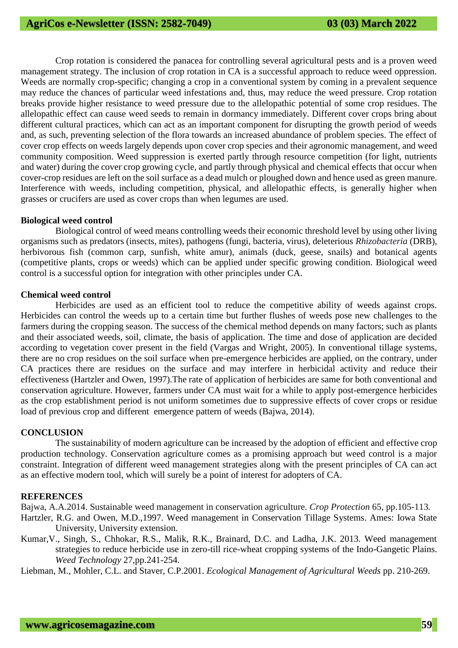Crop rotation is considered the panacea for controlling several agricultural pests and is a proven weed management strategy. The inclusion of crop rotation in CA is a successful approach to reduce weed oppression. Weeds are normally crop-specific; changing a crop in a conventional system by coming in a prevalent sequence may reduce the chances of particular weed infestations and, thus, may reduce the weed pressure. Crop rotation breaks provide higher resistance to weed pressure due to the allelopathic potential of some crop residues. The allelopathic effect can cause weed seeds to remain in dormancy immediately. Different cover crops bring about different cultural practices, which can act as an important component for disrupting the growth period of weeds and, as such, preventing selection of the flora towards an increased abundance of problem species. The effect of cover crop effects on weeds largely depends upon cover crop species and their agronomic management, and weed community composition. Weed suppression is exerted partly through resource competition (for light, nutrients and water) during the cover crop growing cycle, and partly through physical and chemical effects that occur when cover-crop residues are left on the soil surface as a dead mulch or ploughed down and hence used as green manure. Interference with weeds, including competition, physical, and allelopathic effects, is generally higher when grasses or crucifers are used as cover crops than when legumes are used.

#### **Biological weed control**

Biological control of weed means controlling weeds their economic threshold level by using other living organisms such as predators (insects, mites), pathogens (fungi, bacteria, virus), deleterious *Rhizobacteria* (DRB), herbivorous fish (common carp, sunfish, white amur), animals (duck, geese, snails) and botanical agents (competitive plants, crops or weeds) which can be applied under specific growing condition. Biological weed control is a successful option for integration with other principles under CA.

#### **Chemical weed control**

Herbicides are used as an efficient tool to reduce the competitive ability of weeds against crops. Herbicides can control the weeds up to a certain time but further flushes of weeds pose new challenges to the farmers during the cropping season. The success of the chemical method depends on many factors; such as plants and their associated weeds, soil, climate, the basis of application. The time and dose of application are decided according to vegetation cover present in the field (Vargas and Wright, 2005). In conventional tillage systems, there are no crop residues on the soil surface when pre-emergence herbicides are applied, on the contrary, under CA practices there are residues on the surface and may interfere in herbicidal activity and reduce their effectiveness (Hartzler and Owen, 1997).The rate of application of herbicides are same for both conventional and conservation agriculture. However, farmers under CA must wait for a while to apply post-emergence herbicides as the crop establishment period is not uniform sometimes due to suppressive effects of cover crops or residue load of previous crop and different emergence pattern of weeds (Bajwa, 2014).

#### **CONCLUSION**

The sustainability of modern agriculture can be increased by the adoption of efficient and effective crop production technology. Conservation agriculture comes as a promising approach but weed control is a major constraint. Integration of different weed management strategies along with the present principles of CA can act as an effective modern tool, which will surely be a point of interest for adopters of CA.

#### **REFERENCES**

Bajwa, A.A.2014. Sustainable weed management in conservation agriculture*. Crop Protection* 65, pp.105-113*.*

Hartzler, R.G. and Owen, M.D.,1997. Weed management in Conservation Tillage Systems. Ames: Iowa State University, University extension.

Kumar,V., Singh, S., Chhokar, R.S., Malik, R.K., Brainard, D.C. and Ladha, J.K. 2013. Weed management strategies to reduce herbicide use in zero-till rice-wheat cropping systems of the Indo-Gangetic Plains. *Weed Technology* 27,pp.241-254.

Liebman, M., Mohler, C.L. and Staver, C.P.2001. *Ecological Management of Agricultural Weeds* pp. 210-269.